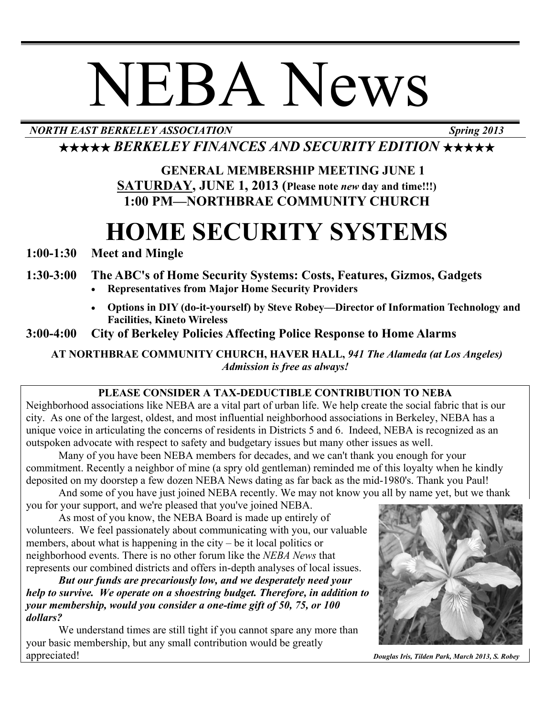# NEBA News

# *NORTH EAST BERKELEY ASSOCIATION Spring 2013*

★★★★★ *BERKELEY FINANCES AND SECURITY EDITION* ★★★★★

# **GENERAL MEMBERSHIP MEETING JUNE 1 SATURDAY, JUNE 1, 2013 (Please note** *new* **day and time!!!) 1:00 PM—NORTHBRAE COMMUNITY CHURCH**

# **HOME SECURITY SYSTEMS**

**1:00-1:30 Meet and Mingle**

# **1:30-3:00 The ABC's of Home Security Systems: Costs, Features, Gizmos, Gadgets**

- **Representatives from Major Home Security Providers**
- **Options in DIY (do-it-yourself) by Steve Robey—Director of Information Technology and Facilities, Kineto Wireless**

# **3:00-4:00 City of Berkeley Policies Affecting Police Response to Home Alarms**

**AT NORTHBRAE COMMUNITY CHURCH, HAVER HALL,** *941 The Alameda (at Los Angeles) Admission is free as always!*

### **PLEASE CONSIDER A TAX-DEDUCTIBLE CONTRIBUTION TO NEBA**

Neighborhood associations like NEBA are a vital part of urban life. We help create the social fabric that is our city. As one of the largest, oldest, and most influential neighborhood associations in Berkeley, NEBA has a unique voice in articulating the concerns of residents in Districts 5 and 6. Indeed, NEBA is recognized as an outspoken advocate with respect to safety and budgetary issues but many other issues as well.

Many of you have been NEBA members for decades, and we can't thank you enough for your commitment. Recently a neighbor of mine (a spry old gentleman) reminded me of this loyalty when he kindly deposited on my doorstep a few dozen NEBA News dating as far back as the mid-1980's. Thank you Paul!

And some of you have just joined NEBA recently. We may not know you all by name yet, but we thank

you for your support, and we're pleased that you've joined NEBA. As most of you know, the NEBA Board is made up entirely of volunteers. We feel passionately about communicating with you, our valuable members, about what is happening in the city – be it local politics or neighborhood events. There is no other forum like the *NEBA News* that represents our combined districts and offers in-depth analyses of local issues.

*But our funds are precariously low, and we desperately need your help to survive. We operate on a shoestring budget. Therefore, in addition to your membership, would you consider a one-time gift of 50, 75, or 100 dollars?* 

We understand times are still tight if you cannot spare any more than your basic membership, but any small contribution would be greatly appreciated! *Douglas Iris, Tilden Park, March 2013, S. Robey*

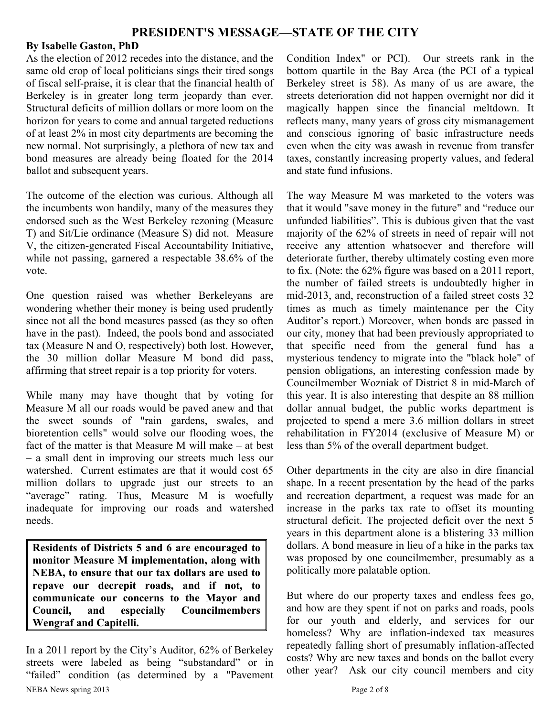#### **By Isabelle Gaston, PhD**

As the election of 2012 recedes into the distance, and the same old crop of local politicians sings their tired songs of fiscal self-praise, it is clear that the financial health of Berkeley is in greater long term jeopardy than ever. Structural deficits of million dollars or more loom on the horizon for years to come and annual targeted reductions of at least 2% in most city departments are becoming the new normal. Not surprisingly, a plethora of new tax and bond measures are already being floated for the 2014 ballot and subsequent years.

The outcome of the election was curious. Although all the incumbents won handily, many of the measures they endorsed such as the West Berkeley rezoning (Measure T) and Sit/Lie ordinance (Measure S) did not. Measure V, the citizen-generated Fiscal Accountability Initiative, while not passing, garnered a respectable 38.6% of the vote.

One question raised was whether Berkeleyans are wondering whether their money is being used prudently since not all the bond measures passed (as they so often have in the past). Indeed, the pools bond and associated tax (Measure N and O, respectively) both lost. However, the 30 million dollar Measure M bond did pass, affirming that street repair is a top priority for voters.

While many may have thought that by voting for Measure M all our roads would be paved anew and that the sweet sounds of "rain gardens, swales, and bioretention cells" would solve our flooding woes, the fact of the matter is that Measure M will make – at best – a small dent in improving our streets much less our watershed. Current estimates are that it would cost 65 million dollars to upgrade just our streets to an "average" rating. Thus, Measure M is woefully inadequate for improving our roads and watershed needs.

**Residents of Districts 5 and 6 are encouraged to monitor Measure M implementation, along with NEBA, to ensure that our tax dollars are used to repave our decrepit roads, and if not, to communicate our concerns to the Mayor and Council, and especially Councilmembers Wengraf and Capitelli.**

NEBA News spring 2013 Page 2 of 8 In a 2011 report by the City's Auditor, 62% of Berkeley streets were labeled as being "substandard" or in "failed" condition (as determined by a "Pavement

Condition Index" or PCI). Our streets rank in the bottom quartile in the Bay Area (the PCI of a typical Berkeley street is 58). As many of us are aware, the streets deterioration did not happen overnight nor did it magically happen since the financial meltdown. It reflects many, many years of gross city mismanagement and conscious ignoring of basic infrastructure needs even when the city was awash in revenue from transfer taxes, constantly increasing property values, and federal and state fund infusions.

The way Measure M was marketed to the voters was that it would "save money in the future" and "reduce our unfunded liabilities". This is dubious given that the vast majority of the 62% of streets in need of repair will not receive any attention whatsoever and therefore will deteriorate further, thereby ultimately costing even more to fix. (Note: the 62% figure was based on a 2011 report, the number of failed streets is undoubtedly higher in mid-2013, and, reconstruction of a failed street costs 32 times as much as timely maintenance per the City Auditor's report.) Moreover, when bonds are passed in our city, money that had been previously appropriated to that specific need from the general fund has a mysterious tendency to migrate into the "black hole" of pension obligations, an interesting confession made by Councilmember Wozniak of District 8 in mid-March of this year. It is also interesting that despite an 88 million dollar annual budget, the public works department is projected to spend a mere 3.6 million dollars in street rehabilitation in FY2014 (exclusive of Measure M) or less than 5% of the overall department budget.

Other departments in the city are also in dire financial shape. In a recent presentation by the head of the parks and recreation department, a request was made for an increase in the parks tax rate to offset its mounting structural deficit. The projected deficit over the next 5 years in this department alone is a blistering 33 million dollars. A bond measure in lieu of a hike in the parks tax was proposed by one councilmember, presumably as a politically more palatable option.

But where do our property taxes and endless fees go, and how are they spent if not on parks and roads, pools for our youth and elderly, and services for our homeless? Why are inflation-indexed tax measures repeatedly falling short of presumably inflation-affected costs? Why are new taxes and bonds on the ballot every other year? Ask our city council members and city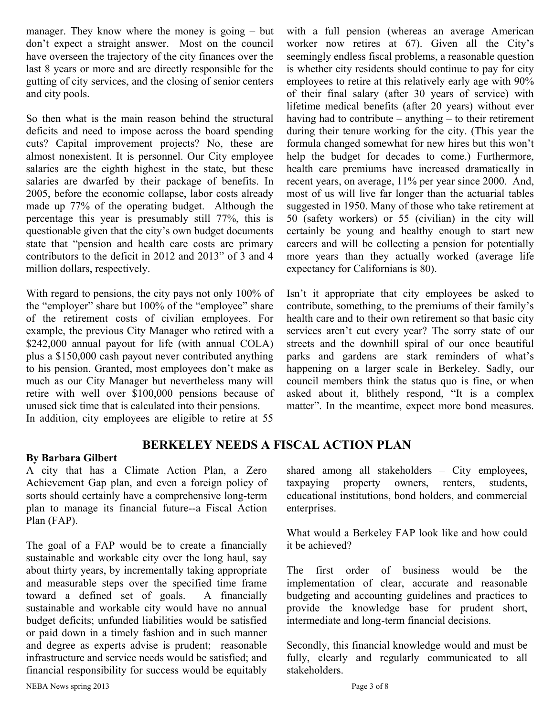manager. They know where the money is going – but don't expect a straight answer. Most on the council have overseen the trajectory of the city finances over the last 8 years or more and are directly responsible for the gutting of city services, and the closing of senior centers and city pools.

So then what is the main reason behind the structural deficits and need to impose across the board spending cuts? Capital improvement projects? No, these are almost nonexistent. It is personnel. Our City employee salaries are the eighth highest in the state, but these salaries are dwarfed by their package of benefits. In 2005, before the economic collapse, labor costs already made up 77% of the operating budget. Although the percentage this year is presumably still 77%, this is questionable given that the city's own budget documents state that "pension and health care costs are primary contributors to the deficit in 2012 and 2013" of 3 and 4 million dollars, respectively.

With regard to pensions, the city pays not only 100% of the "employer" share but 100% of the "employee" share of the retirement costs of civilian employees. For example, the previous City Manager who retired with a \$242,000 annual payout for life (with annual COLA) plus a \$150,000 cash payout never contributed anything to his pension. Granted, most employees don't make as much as our City Manager but nevertheless many will retire with well over \$100,000 pensions because of unused sick time that is calculated into their pensions. In addition, city employees are eligible to retire at 55

with a full pension (whereas an average American worker now retires at 67). Given all the City's seemingly endless fiscal problems, a reasonable question is whether city residents should continue to pay for city employees to retire at this relatively early age with 90% of their final salary (after 30 years of service) with lifetime medical benefits (after 20 years) without ever having had to contribute – anything – to their retirement during their tenure working for the city. (This year the formula changed somewhat for new hires but this won't help the budget for decades to come.) Furthermore, health care premiums have increased dramatically in recent years, on average, 11% per year since 2000. And, most of us will live far longer than the actuarial tables suggested in 1950. Many of those who take retirement at 50 (safety workers) or 55 (civilian) in the city will certainly be young and healthy enough to start new careers and will be collecting a pension for potentially more years than they actually worked (average life expectancy for Californians is 80).

Isn't it appropriate that city employees be asked to contribute, something, to the premiums of their family's health care and to their own retirement so that basic city services aren't cut every year? The sorry state of our streets and the downhill spiral of our once beautiful parks and gardens are stark reminders of what's happening on a larger scale in Berkeley. Sadly, our council members think the status quo is fine, or when asked about it, blithely respond, "It is a complex matter". In the meantime, expect more bond measures.

#### **BERKELEY NEEDS A FISCAL ACTION PLAN**

#### **By Barbara Gilbert**

A city that has a Climate Action Plan, a Zero Achievement Gap plan, and even a foreign policy of sorts should certainly have a comprehensive long-term plan to manage its financial future--a Fiscal Action Plan (FAP).

The goal of a FAP would be to create a financially sustainable and workable city over the long haul, say about thirty years, by incrementally taking appropriate and measurable steps over the specified time frame toward a defined set of goals. A financially sustainable and workable city would have no annual budget deficits; unfunded liabilities would be satisfied or paid down in a timely fashion and in such manner and degree as experts advise is prudent; reasonable infrastructure and service needs would be satisfied; and financial responsibility for success would be equitably shared among all stakeholders – City employees, taxpaying property owners, renters, students, educational institutions, bond holders, and commercial enterprises.

What would a Berkeley FAP look like and how could it be achieved?

The first order of business would be the implementation of clear, accurate and reasonable budgeting and accounting guidelines and practices to provide the knowledge base for prudent short, intermediate and long-term financial decisions.

Secondly, this financial knowledge would and must be fully, clearly and regularly communicated to all stakeholders.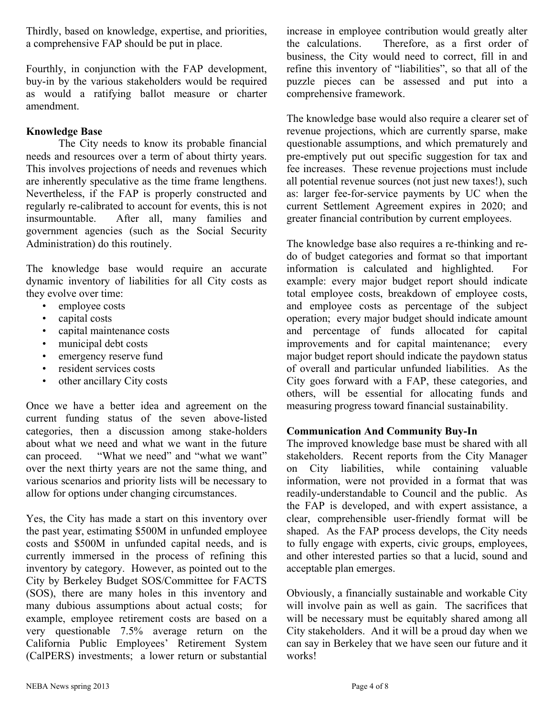Thirdly, based on knowledge, expertise, and priorities, a comprehensive FAP should be put in place.

Fourthly, in conjunction with the FAP development, buy-in by the various stakeholders would be required as would a ratifying ballot measure or charter amendment.

#### **Knowledge Base**

The City needs to know its probable financial needs and resources over a term of about thirty years. This involves projections of needs and revenues which are inherently speculative as the time frame lengthens. Nevertheless, if the FAP is properly constructed and regularly re-calibrated to account for events, this is not insurmountable. After all, many families and government agencies (such as the Social Security Administration) do this routinely.

The knowledge base would require an accurate dynamic inventory of liabilities for all City costs as they evolve over time:

- employee costs
- capital costs
- capital maintenance costs
- municipal debt costs
- emergency reserve fund
- resident services costs
- other ancillary City costs

Once we have a better idea and agreement on the current funding status of the seven above-listed categories, then a discussion among stake-holders about what we need and what we want in the future can proceed. "What we need" and "what we want" over the next thirty years are not the same thing, and various scenarios and priority lists will be necessary to allow for options under changing circumstances.

Yes, the City has made a start on this inventory over the past year, estimating \$500M in unfunded employee costs and \$500M in unfunded capital needs, and is currently immersed in the process of refining this inventory by category. However, as pointed out to the City by Berkeley Budget SOS/Committee for FACTS (SOS), there are many holes in this inventory and many dubious assumptions about actual costs; for example, employee retirement costs are based on a very questionable 7.5% average return on the California Public Employees' Retirement System (CalPERS) investments; a lower return or substantial increase in employee contribution would greatly alter the calculations. Therefore, as a first order of business, the City would need to correct, fill in and refine this inventory of "liabilities", so that all of the puzzle pieces can be assessed and put into a comprehensive framework.

The knowledge base would also require a clearer set of revenue projections, which are currently sparse, make questionable assumptions, and which prematurely and pre-emptively put out specific suggestion for tax and fee increases. These revenue projections must include all potential revenue sources (not just new taxes!), such as: larger fee-for-service payments by UC when the current Settlement Agreement expires in 2020; and greater financial contribution by current employees.

The knowledge base also requires a re-thinking and redo of budget categories and format so that important information is calculated and highlighted. For example: every major budget report should indicate total employee costs, breakdown of employee costs, and employee costs as percentage of the subject operation; every major budget should indicate amount and percentage of funds allocated for capital improvements and for capital maintenance; every major budget report should indicate the paydown status of overall and particular unfunded liabilities. As the City goes forward with a FAP, these categories, and others, will be essential for allocating funds and measuring progress toward financial sustainability.

#### **Communication And Community Buy-In**

The improved knowledge base must be shared with all stakeholders. Recent reports from the City Manager on City liabilities, while containing valuable information, were not provided in a format that was readily-understandable to Council and the public. As the FAP is developed, and with expert assistance, a clear, comprehensible user-friendly format will be shaped. As the FAP process develops, the City needs to fully engage with experts, civic groups, employees, and other interested parties so that a lucid, sound and acceptable plan emerges.

Obviously, a financially sustainable and workable City will involve pain as well as gain. The sacrifices that will be necessary must be equitably shared among all City stakeholders. And it will be a proud day when we can say in Berkeley that we have seen our future and it works!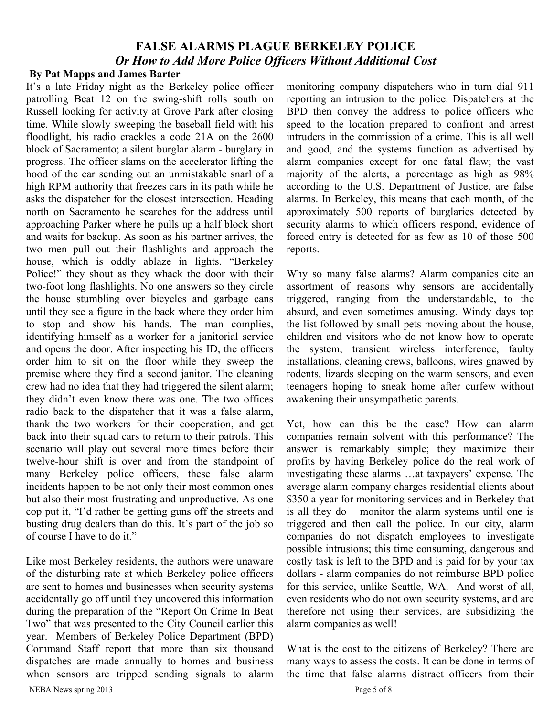# **FALSE ALARMS PLAGUE BERKELEY POLICE** *Or How to Add More Police Officers Without Additional Cost*

#### **By Pat Mapps and James Barter**

It's a late Friday night as the Berkeley police officer patrolling Beat 12 on the swing-shift rolls south on Russell looking for activity at Grove Park after closing time. While slowly sweeping the baseball field with his floodlight, his radio crackles a code 21A on the 2600 block of Sacramento; a silent burglar alarm - burglary in progress. The officer slams on the accelerator lifting the hood of the car sending out an unmistakable snarl of a high RPM authority that freezes cars in its path while he asks the dispatcher for the closest intersection. Heading north on Sacramento he searches for the address until approaching Parker where he pulls up a half block short and waits for backup. As soon as his partner arrives, the two men pull out their flashlights and approach the house, which is oddly ablaze in lights. "Berkeley Police!" they shout as they whack the door with their two-foot long flashlights. No one answers so they circle the house stumbling over bicycles and garbage cans until they see a figure in the back where they order him to stop and show his hands. The man complies, identifying himself as a worker for a janitorial service and opens the door. After inspecting his ID, the officers order him to sit on the floor while they sweep the premise where they find a second janitor. The cleaning crew had no idea that they had triggered the silent alarm; they didn't even know there was one. The two offices radio back to the dispatcher that it was a false alarm, thank the two workers for their cooperation, and get back into their squad cars to return to their patrols. This scenario will play out several more times before their twelve-hour shift is over and from the standpoint of many Berkeley police officers, these false alarm incidents happen to be not only their most common ones but also their most frustrating and unproductive. As one cop put it, "I'd rather be getting guns off the streets and busting drug dealers than do this. It's part of the job so of course I have to do it."

Like most Berkeley residents, the authors were unaware of the disturbing rate at which Berkeley police officers are sent to homes and businesses when security systems accidentally go off until they uncovered this information during the preparation of the "Report On Crime In Beat Two" that was presented to the City Council earlier this year. Members of Berkeley Police Department (BPD) Command Staff report that more than six thousand dispatches are made annually to homes and business when sensors are tripped sending signals to alarm monitoring company dispatchers who in turn dial 911 reporting an intrusion to the police. Dispatchers at the BPD then convey the address to police officers who speed to the location prepared to confront and arrest intruders in the commission of a crime. This is all well and good, and the systems function as advertised by alarm companies except for one fatal flaw; the vast majority of the alerts, a percentage as high as 98% according to the U.S. Department of Justice, are false alarms. In Berkeley, this means that each month, of the approximately 500 reports of burglaries detected by security alarms to which officers respond, evidence of forced entry is detected for as few as 10 of those 500 reports.

Why so many false alarms? Alarm companies cite an assortment of reasons why sensors are accidentally triggered, ranging from the understandable, to the absurd, and even sometimes amusing. Windy days top the list followed by small pets moving about the house, children and visitors who do not know how to operate the system, transient wireless interference, faulty installations, cleaning crews, balloons, wires gnawed by rodents, lizards sleeping on the warm sensors, and even teenagers hoping to sneak home after curfew without awakening their unsympathetic parents.

Yet, how can this be the case? How can alarm companies remain solvent with this performance? The answer is remarkably simple; they maximize their profits by having Berkeley police do the real work of investigating these alarms …at taxpayers' expense. The average alarm company charges residential clients about \$350 a year for monitoring services and in Berkeley that is all they do – monitor the alarm systems until one is triggered and then call the police. In our city, alarm companies do not dispatch employees to investigate possible intrusions; this time consuming, dangerous and costly task is left to the BPD and is paid for by your tax dollars - alarm companies do not reimburse BPD police for this service, unlike Seattle, WA. And worst of all, even residents who do not own security systems, and are therefore not using their services, are subsidizing the alarm companies as well!

What is the cost to the citizens of Berkeley? There are many ways to assess the costs. It can be done in terms of the time that false alarms distract officers from their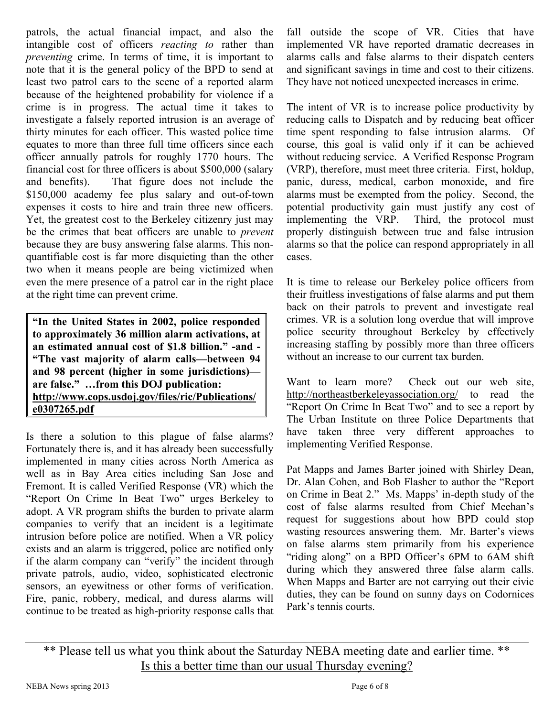patrols, the actual financial impact, and also the intangible cost of officers *reacting to* rather than *preventing* crime. In terms of time, it is important to note that it is the general policy of the BPD to send at least two patrol cars to the scene of a reported alarm because of the heightened probability for violence if a crime is in progress. The actual time it takes to investigate a falsely reported intrusion is an average of thirty minutes for each officer. This wasted police time equates to more than three full time officers since each officer annually patrols for roughly 1770 hours. The financial cost for three officers is about \$500,000 (salary and benefits). That figure does not include the \$150,000 academy fee plus salary and out-of-town expenses it costs to hire and train three new officers. Yet, the greatest cost to the Berkeley citizenry just may be the crimes that beat officers are unable to *prevent*  because they are busy answering false alarms. This nonquantifiable cost is far more disquieting than the other two when it means people are being victimized when even the mere presence of a patrol car in the right place at the right time can prevent crime.

**"In the United States in 2002, police responded to approximately 36 million alarm activations, at an estimated annual cost of \$1.8 billion." -and - "The vast majority of alarm calls—between 94 and 98 percent (higher in some jurisdictions) are false." …from this DOJ publication: http://www.cops.usdoj.gov/files/ric/Publications/ e0307265.pdf**

Is there a solution to this plague of false alarms? Fortunately there is, and it has already been successfully implemented in many cities across North America as well as in Bay Area cities including San Jose and Fremont. It is called Verified Response (VR) which the "Report On Crime In Beat Two" urges Berkeley to adopt. A VR program shifts the burden to private alarm companies to verify that an incident is a legitimate intrusion before police are notified. When a VR policy exists and an alarm is triggered, police are notified only if the alarm company can "verify" the incident through private patrols, audio, video, sophisticated electronic sensors, an eyewitness or other forms of verification. Fire, panic, robbery, medical, and duress alarms will continue to be treated as high-priority response calls that

fall outside the scope of VR. Cities that have implemented VR have reported dramatic decreases in alarms calls and false alarms to their dispatch centers and significant savings in time and cost to their citizens. They have not noticed unexpected increases in crime.

The intent of VR is to increase police productivity by reducing calls to Dispatch and by reducing beat officer time spent responding to false intrusion alarms. Of course, this goal is valid only if it can be achieved without reducing service. A Verified Response Program (VRP), therefore, must meet three criteria. First, holdup, panic, duress, medical, carbon monoxide, and fire alarms must be exempted from the policy. Second, the potential productivity gain must justify any cost of implementing the VRP. Third, the protocol must properly distinguish between true and false intrusion alarms so that the police can respond appropriately in all cases.

It is time to release our Berkeley police officers from their fruitless investigations of false alarms and put them back on their patrols to prevent and investigate real crimes. VR is a solution long overdue that will improve police security throughout Berkeley by effectively increasing staffing by possibly more than three officers without an increase to our current tax burden.

Want to learn more? Check out our web site, <http://northeastberkeleyassociation.org/> to read the "Report On Crime In Beat Two" and to see a report by The Urban Institute on three Police Departments that have taken three very different approaches to implementing Verified Response.

Pat Mapps and James Barter joined with Shirley Dean, Dr. Alan Cohen, and Bob Flasher to author the "Report on Crime in Beat 2." Ms. Mapps' in-depth study of the cost of false alarms resulted from Chief Meehan's request for suggestions about how BPD could stop wasting resources answering them. Mr. Barter's views on false alarms stem primarily from his experience "riding along" on a BPD Officer's 6PM to 6AM shift during which they answered three false alarm calls. When Mapps and Barter are not carrying out their civic duties, they can be found on sunny days on Codornices Park's tennis courts.

\*\* Please tell us what you think about the Saturday NEBA meeting date and earlier time. \*\* Is this a better time than our usual Thursday evening?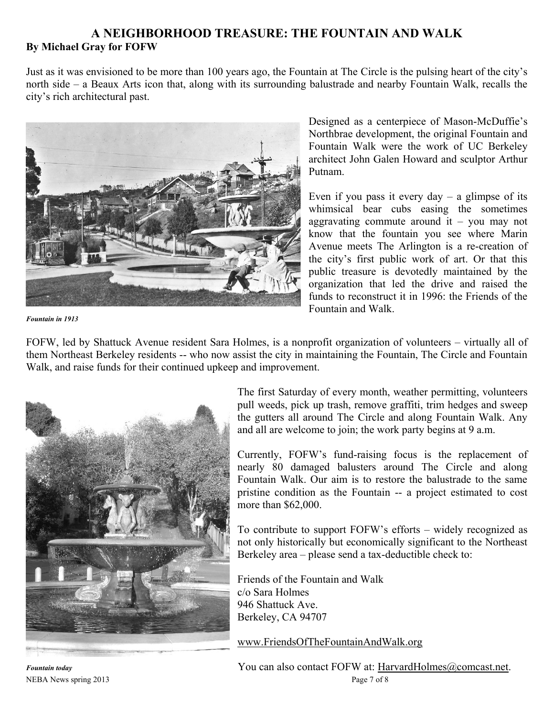#### **A NEIGHBORHOOD TREASURE: THE FOUNTAIN AND WALK By Michael Gray for FOFW**

Just as it was envisioned to be more than 100 years ago, the Fountain at The Circle is the pulsing heart of the city's north side – a Beaux Arts icon that, along with its surrounding balustrade and nearby Fountain Walk, recalls the city's rich architectural past.



Designed as a centerpiece of Mason-McDuffie's Northbrae development, the original Fountain and Fountain Walk were the work of UC Berkeley architect John Galen Howard and sculptor Arthur Putnam.

Even if you pass it every  $day - a$  glimpse of its whimsical bear cubs easing the sometimes aggravating commute around it – you may not know that the fountain you see where Marin Avenue meets The Arlington is a re-creation of the city's first public work of art. Or that this public treasure is devotedly maintained by the organization that led the drive and raised the funds to reconstruct it in 1996: the Friends of the Fountain and Walk.

*Fountain in 1913*

FOFW, led by Shattuck Avenue resident Sara Holmes, is a nonprofit organization of volunteers – virtually all of them Northeast Berkeley residents -- who now assist the city in maintaining the Fountain, The Circle and Fountain Walk, and raise funds for their continued upkeep and improvement.



The first Saturday of every month, weather permitting, volunteers pull weeds, pick up trash, remove graffiti, trim hedges and sweep the gutters all around The Circle and along Fountain Walk. Any and all are welcome to join; the work party begins at 9 a.m.

Currently, FOFW's fund-raising focus is the replacement of nearly 80 damaged balusters around The Circle and along Fountain Walk. Our aim is to restore the balustrade to the same pristine condition as the Fountain -- a project estimated to cost more than \$62,000.

To contribute to support FOFW's efforts – widely recognized as not only historically but economically significant to the Northeast Berkeley area – please send a tax-deductible check to:

Friends of the Fountain and Walk c/o Sara Holmes 946 Shattuck Ave. Berkeley, CA 94707

www.FriendsOfTheFountainAndWalk.org

NEBA News spring 2013 Page 7 of 8 *Fountain today* **Powerfollow Foundation** You can also contact FOFW at: HarvardHolmes@comcast.net.